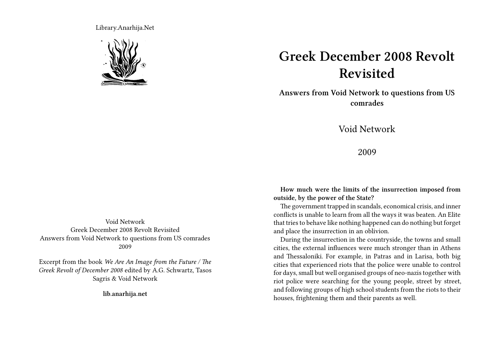Library.Anarhija.Net



## **Greek December 2008 Revolt Revisited**

**Answers from Void Network to questions from US comrades**

Void Network

2009

**How much were the limits of the insurrection imposed from outside, by the power of the State?**

The government trapped in scandals, economical crisis, and inner conflicts is unable to learn from all the ways it was beaten. An Elite that tries to behave like nothing happened can do nothing but forget and place the insurrection in an oblivion.

During the insurrection in the countryside, the towns and small cities, the external influences were much stronger than in Athens and Thessaloniki. For example, in Patras and in Larisa, both big cities that experienced riots that the police were unable to control for days, small but well organised groups of neo-nazis together with riot police were searching for the young people, street by street, and following groups of high school students from the riots to their houses, frightening them and their parents as well.

Void Network Greek December 2008 Revolt Revisited Answers from Void Network to questions from US comrades 2009

Excerpt from the book *We Are An Image from the Future / The Greek Revolt of December 2008* edited by A.G. Schwartz, Tasos Sagris & Void Network

**lib.anarhija.net**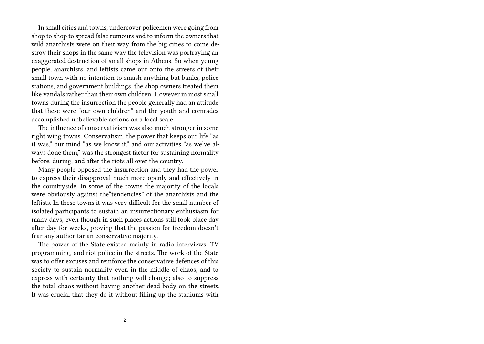In small cities and towns, undercover policemen were going from shop to shop to spread false rumours and to inform the owners that wild anarchists were on their way from the big cities to come destroy their shops in the same way the television was portraying an exaggerated destruction of small shops in Athens. So when young people, anarchists, and leftists came out onto the streets of their small town with no intention to smash anything but banks, police stations, and government buildings, the shop owners treated them like vandals rather than their own children. However in most small towns during the insurrection the people generally had an attitude that these were "our own children" and the youth and comrades accomplished unbelievable actions on a local scale.

The influence of conservativism was also much stronger in some right wing towns. Conservatism, the power that keeps our life "as it was," our mind "as we know it," and our activities "as we've always done them," was the strongest factor for sustaining normality before, during, and after the riots all over the country.

Many people opposed the insurrection and they had the power to express their disapproval much more openly and effectively in the countryside. In some of the towns the majority of the locals were obviously against the"tendencies" of the anarchists and the leftists. In these towns it was very difficult for the small number of isolated participants to sustain an insurrectionary enthusiasm for many days, even though in such places actions still took place day after day for weeks, proving that the passion for freedom doesn't fear any authoritarian conservative majority.

The power of the State existed mainly in radio interviews, TV programming, and riot police in the streets. The work of the State was to offer excuses and reinforce the conservative defences of this society to sustain normality even in the middle of chaos, and to express with certainty that nothing will change; also to suppress the total chaos without having another dead body on the streets. It was crucial that they do it without filling up the stadiums with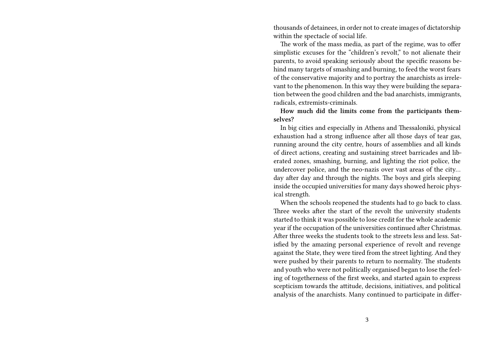thousands of detainees, in order not to create images of dictatorship within the spectacle of social life.

The work of the mass media, as part of the regime, was to offer simplistic excuses for the "children's revolt," to not alienate their parents, to avoid speaking seriously about the specific reasons behind many targets of smashing and burning, to feed the worst fears of the conservative majority and to portray the anarchists as irrelevant to the phenomenon. In this way they were building the separation between the good children and the bad anarchists, immigrants, radicals, extremists-criminals.

**How much did the limits come from the participants themselves?**

In big cities and especially in Athens and Thessaloniki, physical exhaustion had a strong influence after all those days of tear gas, running around the city centre, hours of assemblies and all kinds of direct actions, creating and sustaining street barricades and liberated zones, smashing, burning, and lighting the riot police, the undercover police, and the neo-nazis over vast areas of the city… day after day and through the nights. The boys and girls sleeping inside the occupied universities for many days showed heroic physical strength.

When the schools reopened the students had to go back to class. Three weeks after the start of the revolt the university students started to think it was possible to lose credit for the whole academic year if the occupation of the universities continued after Christmas. After three weeks the students took to the streets less and less. Satisfied by the amazing personal experience of revolt and revenge against the State, they were tired from the street lighting. And they were pushed by their parents to return to normality. The students and youth who were not politically organised began to lose the feeling of togetherness of the first weeks, and started again to express scepticism towards the attitude, decisions, initiatives, and political analysis of the anarchists. Many continued to participate in differ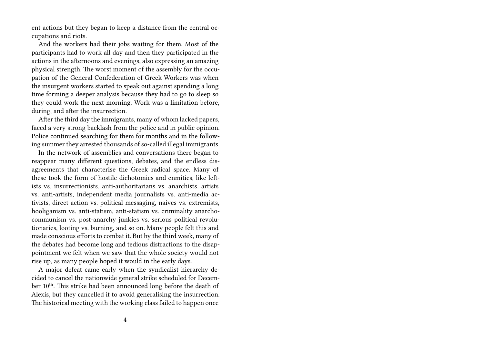ent actions but they began to keep a distance from the central occupations and riots.

And the workers had their jobs waiting for them. Most of the participants had to work all day and then they participated in the actions in the afternoons and evenings, also expressing an amazing physical strength. The worst moment of the assembly for the occupation of the General Confederation of Greek Workers was when the insurgent workers started to speak out against spending a long time forming a deeper analysis because they had to go to sleep so they could work the next morning. Work was a limitation before, during, and after the insurrection.

After the third day the immigrants, many of whom lacked papers, faced a very strong backlash from the police and in public opinion. Police continued searching for them for months and in the following summer they arrested thousands of so-called illegal immigrants.

In the network of assemblies and conversations there began to reappear many different questions, debates, and the endless disagreements that characterise the Greek radical space. Many of these took the form of hostile dichotomies and enmities, like leftists vs. insurrectionists, anti-authoritarians vs. anarchists, artists vs. anti-artists, independent media journalists vs. anti-media activists, direct action vs. political messaging, naives vs. extremists, hooliganism vs. anti-statism, anti-statism vs. criminality anarchocommunism vs. post-anarchy junkies vs. serious political revolutionaries, looting vs. burning, and so on. Many people felt this and made conscious efforts to combat it. But by the third week, many of the debates had become long and tedious distractions to the disappointment we felt when we saw that the whole society would not rise up, as many people hoped it would in the early days.

A major defeat came early when the syndicalist hierarchy decided to cancel the nationwide general strike scheduled for December 10<sup>th</sup>. This strike had been announced long before the death of Alexis, but they cancelled it to avoid generalising the insurrection. The historical meeting with the working class failed to happen once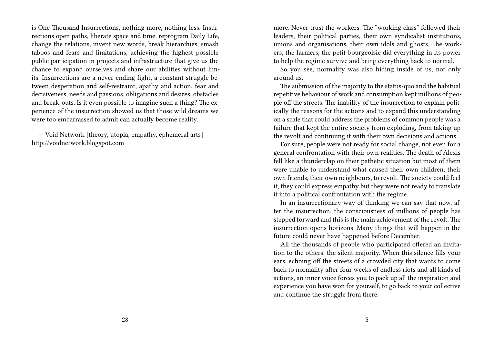is One Thousand Insurrections, nothing more, nothing less. Insurrections open paths, liberate space and time, reprogram Daily Life, change the relations, invent new words, break hierarchies, smash taboos and fears and limitations, achieving the highest possible public participation in projects and infrastructure that give us the chance to expand ourselves and share our abilities without limits. Insurrections are a never-ending fight, a constant struggle between desperation and self-restraint, apathy and action, fear and decisiveness, needs and passions, obligations and desires, obstacles and break-outs. Is it even possible to imagine such a thing? The experience of the insurrection showed us that those wild dreams we were too embarrassed to admit can actually become reality.

— Void Network [theory, utopia, empathy, ephemeral arts] http://voidnetwork.blogspot.com

more. Never trust the workers. The "working class" followed their leaders, their political parties, their own syndicalist institutions, unions and organisations, their own idols and ghosts. The workers, the farmers, the petit-bourgeoisie did everything in its power to help the regime survive and bring everything back to normal.

So you see, normality was also hiding inside of us, not only around us.

The submission of the majority to the status-quo and the habitual repetitive behaviour of work and consumption kept millions of people off the streets. The inability of the insurrection to explain politically the reasons for the actions and to expand this understanding on a scale that could address the problems of common people was a failure that kept the entire society from exploding, from taking up the revolt and continuing it with their own decisions and actions.

For sure, people were not ready for social change, not even for a general confrontation with their own realities. The death of Alexis fell like a thunderclap on their pathetic situation but most of them were unable to understand what caused their own children, their own friends, their own neighbours, to revolt. The society could feel it, they could express empathy but they were not ready to translate it into a political confrontation with the regime.

In an insurrectionary way of thinking we can say that now, after the insurrection, the consciousness of millions of people has stepped forward and this is the main achievement of the revolt. The insurrection opens horizons. Many things that will happen in the future could never have happened before December.

All the thousands of people who participated offered an invitation to the others, the silent majority. When this silence fills your ears, echoing off the streets of a crowded city that wants to come back to normality after four weeks of endless riots and all kinds of actions, an inner voice forces you to pack up all the inspiration and experience you have won for yourself, to go back to your collective and continue the struggle from there.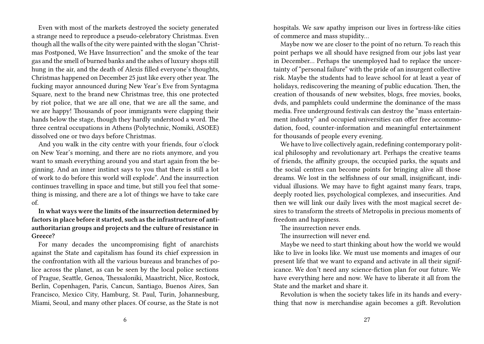Even with most of the markets destroyed the society generated a strange need to reproduce a pseudo-celebratory Christmas. Even though all the walls of the city were painted with the slogan "Christmas Postponed, We Have Insurrection" and the smoke of the tear gas and the smell of burned banks and the ashes of luxury shops still hung in the air, and the death of Alexis filled everyone's thoughts, Christmas happened on December 25 just like every other year. The fucking mayor announced during New Year's Eve from Syntagma Square, next to the brand new Christmas tree, this one protected by riot police, that we are all one, that we are all the same, and we are happy! Thousands of poor immigrants were clapping their hands below the stage, though they hardly understood a word. The three central occupations in Athens (Polytechnic, Nomiki, ASOEE) dissolved one or two days before Christmas.

And you walk in the city centre with your friends, four o'clock on New Year's morning, and there are no riots anymore, and you want to smash everything around you and start again from the beginning. And an inner instinct says to you that there is still a lot of work to do before this world will explode". And the insurrection continues travelling in space and time, but still you feel that something is missing, and there are a lot of things we have to take care of.

**In what ways were the limits of the insurrection determined by factors in place before it started, such as the infrastructure of antiauthoritarian groups and projects and the culture of resistance in Greece?**

For many decades the uncompromising fight of anarchists against the State and capitalism has found its chief expression in the confrontation with all the various bureaus and branches of police across the planet, as can be seen by the local police sections of Prague, Seattle, Genoa, Thessaloniki, Maastricht, Nice, Rostock, Berlin, Copenhagen, Paris, Cancun, Santiago, Buenos Aires, San Francisco, Mexico City, Hamburg, St. Paul, Turin, Johannesburg, Miami, Seoul, and many other places. Of course, as the State is not

hospitals. We saw apathy imprison our lives in fortress-like cities of commerce and mass stupidity…

Maybe now we are closer to the point of no return. To reach this point perhaps we all should have resigned from our jobs last year in December… Perhaps the unemployed had to replace the uncertainty of "personal failure" with the pride of an insurgent collective risk. Maybe the students had to leave school for at least a year of holidays, rediscovering the meaning of public education. Then, the creation of thousands of new websites, blogs, free movies, books, dvds, and pamphlets could undermine the dominance of the mass media. Free underground festivals can destroy the "mass entertainment industry" and occupied universities can offer free accommodation, food, counter-information and meaningful entertainment for thousands of people every evening.

We have to live collectively again, redefining contemporary political philosophy and revolutionary art. Perhaps the creative teams of friends, the affinity groups, the occupied parks, the squats and the social centres can become points for bringing alive all those dreams. We lost in the selfishness of our small, insignificant, individual illusions. We may have to fight against many fears, traps, deeply rooted lies, psychological complexes, and insecurities. And then we will link our daily lives with the most magical secret desires to transform the streets of Metropolis in precious moments of freedom and happiness.

The insurrection never ends.

The insurrection will never end.

Maybe we need to start thinking about how the world we would like to live in looks like. We must use moments and images of our present life that we want to expand and activate in all their significance. We don't need any science-fiction plan for our future. We have everything here and now. We have to liberate it all from the State and the market and share it.

Revolution is when the society takes life in its hands and everything that now is merchandise again becomes a gift. Revolution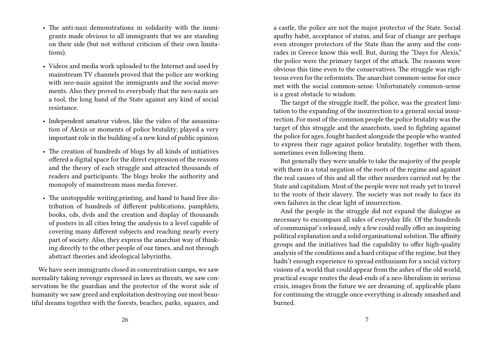- The anti-nazi demonstrations in solidarity with the immigrants made obvious to all immigrants that we are standing on their side (but not without criticism of their own limitations).
- Videos and media work uploaded to the Internet and used by mainstream TV channels proved that the police are working with neo-nazis against the immigrants and the social movements. Also they proved to everybody that the neo-nazis are a tool, the long hand of the State against any kind of social resistance.
- Independent amateur videos, like the video of the assassination of Alexis or moments of police brutality; played a very important role in the building of a new kind of public opinion.
- The creation of hundreds of blogs by all kinds of initiatives offered a digital space for the direct expression of the reasons and the theory of each struggle and attracted thousands of readers and participants. The blogs broke the authority and monopoly of mainstream mass media forever.
- The unstoppable writing, printing, and hand to hand free distribution of hundreds of different publications, pamphlets, books, cds, dvds and the creation and display of thousands of posters in all cities bring the analysis to a level capable of covering many different subjects and reaching nearly every part of society. Also, they express the anarchist way of thinking directly to the other people of our times, and not through abstract theories and ideological labyrinths.

We have seen immigrants closed in concentration camps, we saw normality taking revenge expressed in laws as threats, we saw conservatism be the guardian and the protector of the worst side of humanity we saw greed and exploitation destroying our most beautiful dreams together with the forests, beaches, parks, squares, and

a castle, the police are not the major protector of the State. Social apathy habit, acceptance of status, and fear of change are perhaps even stronger protectors of the State than the army and the comrades in Greece know this well. But, during the "Days for Alexis," the police were the primary target of the attack. The reasons were obvious this time even to the conservatives. The struggle was righteous even for the reformists. The anarchist common-sense for once met with the social common-sense. Unfortunately common-sense is a great obstacle to wisdom.

The target of the struggle itself, the police, was the greatest limitation to the expanding of the insurrection to a general social insurrection. For most of the common people the police brutality was the target of this struggle and the anarchists, used to fighting against the police for ages, fought hardest alongside the people who wanted to express their rage against police brutality, together with them, sometimes even following them.

But generally they were unable to take the majority of the people with them in a total negation of the roots of the regime and against the real causes of this and all the other murders carried out by the State and capitalism. Most of the people were not ready yet to travel to the roots of their slavery. The society was not ready to face its own failures in the clear light of insurrection.

And the people in the struggle did not expand the dialogue as necessary to encompass all sides of everyday life. Of the hundreds of communiqué's released, only a few could really offer an inspiring political explanation and a solid organisational solution.The affinity groups and the initiatives had the capability to offer high-quality analysis of the conditions and a hard critique of the regime, but they hadn't enough experience to spread enthusiasm for a social victory visions of a world that could appear from the ashes of the old world, practical escape routes the dead-ends of a neo-liberalism in serious crisis, images from the future we are dreaming of, applicable plans for continuing the struggle once everything is already smashed and burned.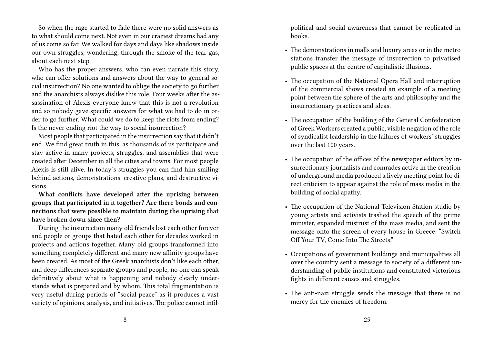So when the rage started to fade there were no solid answers as to what should come next. Not even in our craziest dreams had any of us come so far. We walked for days and days like shadows inside our own struggles, wondering, through the smoke of the tear gas, about each next step.

Who has the proper answers, who can even narrate this story, who can offer solutions and answers about the way to general social insurrection? No one wanted to oblige the society to go further and the anarchists always dislike this role. Four weeks after the assassination of Alexis everyone knew that this is not a revolution and so nobody gave specific answers for what we had to do in order to go further. What could we do to keep the riots from ending? Is the never ending riot the way to social insurrection?

Most people that participated in the insurrection say that it didn't end. We find great truth in this, as thousands of us participate and stay active in many projects, struggles, and assemblies that were created after December in all the cities and towns. For most people Alexis is still alive. In today's struggles you can find him smiling behind actions, demonstrations, creative plans, and destructive visions.

**What conflicts have developed after the uprising between groups that participated in it together? Are there bonds and connections that were possible to maintain during the uprising that have broken down since then?**

During the insurrection many old friends lost each other forever and people or groups that hated each other for decades worked in projects and actions together. Many old groups transformed into something completely different and many new affinity groups have been created. As most of the Greek anarchists don't like each other, and deep differences separate groups and people, no one can speak definitively about what is happening and nobody clearly understands what is prepared and by whom. This total fragmentation is very useful during periods of "social peace" as it produces a vast variety of opinions, analysis, and initiatives. The police cannot infilpolitical and social awareness that cannot be replicated in books.

- The demonstrations in malls and luxury areas or in the metro stations transfer the message of insurrection to privatised public spaces at the centre of capitalistic illusions.
- The occupation of the National Opera Hall and interruption of the commercial shows created an example of a meeting point between the sphere of the arts and philosophy and the insurrectionary practices and ideas.
- The occupation of the building of the General Confederation of Greek Workers created a public, visible negation of the role of syndicalist leadership in the failures of workers' struggles over the last 100 years.
- The occupation of the offices of the newspaper editors by insurrectionary journalists and comrades active in the creation of underground media produced a lively meeting point for direct criticism to appear against the role of mass media in the building of social apathy.
- The occupation of the National Television Station studio by young artists and activists trashed the speech of the prime minister, expanded mistrust of the mass media, and sent the message onto the screen of every house in Greece: "Switch Off Your TV, Come Into The Streets."
- Occupations of government buildings and municipalities all over the country sent a message to society of a different understanding of public institutions and constituted victorious fights in different causes and struggles.
- The anti-nazi struggle sends the message that there is no mercy for the enemies of freedom.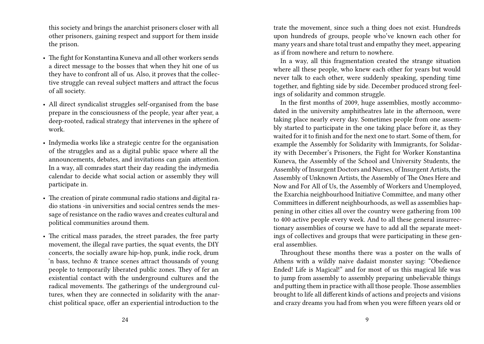this society and brings the anarchist prisoners closer with all other prisoners, gaining respect and support for them inside the prison.

- The fight for Konstantina Kuneva and all other workers sends a direct message to the bosses that when they hit one of us they have to confront all of us. Also, it proves that the collective struggle can reveal subject matters and attract the focus of all society.
- All direct syndicalist struggles self-organised from the base prepare in the consciousness of the people, year after year, a deep-rooted, radical strategy that intervenes in the sphere of work.
- Indymedia works like a strategic centre for the organisation of the struggles and as a digital public space where all the announcements, debates, and invitations can gain attention. In a way, all comrades start their day reading the indymedia calendar to decide what social action or assembly they will participate in.
- The creation of pirate communal radio stations and digital radio stations -in universities and social centres sends the message of resistance on the radio waves and creates cultural and political communities around them.
- The critical mass parades, the street parades, the free party movement, the illegal rave parties, the squat events, the DIY concerts, the socially aware hip-hop, punk, indie rock, drum 'n bass, techno & trance scenes attract thousands of young people to temporarily liberated public zones. They of fer an existential contact with the underground cultures and the radical movements. The gatherings of the underground cultures, when they are connected in solidarity with the anarchist political space, offer an experiential introduction to the

trate the movement, since such a thing does not exist. Hundreds upon hundreds of groups, people who've known each other for many years and share total trust and empathy they meet, appearing as if from nowhere and return to nowhere.

In a way, all this fragmentation created the strange situation where all these people, who knew each other for years but would never talk to each other, were suddenly speaking, spending time together, and fighting side by side. December produced strong feelings of solidarity and common struggle.

In the first months of 2009, huge assemblies, mostly accommodated in the university amphitheatres late in the afternoon, were taking place nearly every day. Sometimes people from one assembly started to participate in the one taking place before it, as they waited for it to finish and for the next one to start. Some of them, for example the Assembly for Solidarity with Immigrants, for Solidarity with December's Prisoners, the Fight for Worker Konstantina Kuneva, the Assembly of the School and University Students, the Assembly of Insurgent Doctors and Nurses, of Insurgent Artists, the Assembly of Unknown Artists, the Assembly of The Ones Here and Now and For All of Us, the Assembly of Workers and Unemployed, the Exarchia neighbourhood Initiative Committee, and many other Committees in different neighbourhoods, as well as assemblies happening in other cities all over the country were gathering from 100 to 400 active people every week. And to all these general insurrectionary assemblies of course we have to add all the separate meetings of collectives and groups that were participating in these general assemblies.

Throughout these months there was a poster on the walls of Athens with a wildly naive dadaist monster saying: "Obedience Ended! Life is Magical!" and for most of us this magical life was to jump from assembly to assembly preparing unbelievable things and putting them in practice with all those people. Those assemblies brought to life all different kinds of actions and projects and visions and crazy dreams you had from when you were fifteen years old or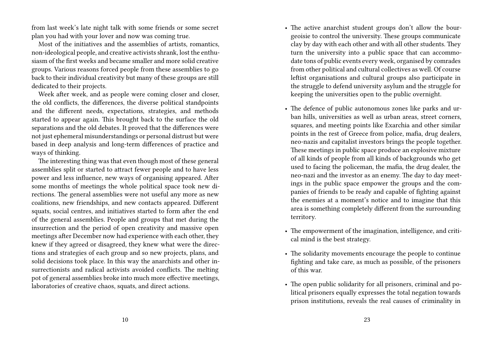from last week's late night talk with some friends or some secret plan you had with your lover and now was coming true.

Most of the initiatives and the assemblies of artists, romantics, non-ideological people, and creative activists shrank, lost the enthusiasm of the first weeks and became smaller and more solid creative groups. Various reasons forced people from these assemblies to go back to their individual creativity but many of these groups are still dedicated to their projects.

Week after week, and as people were coming closer and closer, the old conflicts, the differences, the diverse political standpoints and the different needs, expectations, strategies, and methods started to appear again. This brought back to the surface the old separations and the old debates. It proved that the differences were not just ephemeral misunderstandings or personal distrust but were based in deep analysis and long-term differences of practice and ways of thinking.

The interesting thing was that even though most of these general assemblies split or started to attract fewer people and to have less power and less influence, new ways of organising appeared. After some months of meetings the whole political space took new directions. The general assemblies were not useful any more as new coalitions, new friendships, and new contacts appeared. Different squats, social centres, and initiatives started to form after the end of the general assemblies. People and groups that met during the insurrection and the period of open creativity and massive open meetings after December now had experience with each other, they knew if they agreed or disagreed, they knew what were the directions and strategies of each group and so new projects, plans, and solid decisions took place. In this way the anarchists and other insurrectionists and radical activists avoided conflicts. The melting pot of general assemblies broke into much more effective meetings, laboratories of creative chaos, squats, and direct actions.

- The active anarchist student groups don't allow the bourgeoisie to control the university. These groups communicate clay by day with each other and with all other students. They turn the university into a public space that can accommodate tons of public events every week, organised by comrades from other political and cultural collectives as well. Of course leftist organisations and cultural groups also participate in the struggle to defend university asylum and the struggle for keeping the universities open to the public overnight.
- The defence of public autonomous zones like parks and urban hills, universities as well as urban areas, street corners, squares, and meeting points like Exarchia and other similar points in the rest of Greece from police, mafia, drug dealers, neo-nazis and capitalist investors brings the people together. These meetings in public space produce an explosive mixture of all kinds of people from all kinds of backgrounds who get used to facing the policeman, the mafia, the drug dealer, the neo-nazi and the investor as an enemy. The day to day meetings in the public space empower the groups and the companies of friends to be ready and capable of fighting against the enemies at a moment's notice and to imagine that this area is something completely different from the surrounding territory.
- The empowerment of the imagination, intelligence, and critical mind is the best strategy.
- The solidarity movements encourage the people to continue fighting and take care, as much as possible, of the prisoners of this war.
- The open public solidarity for all prisoners, criminal and political prisoners equally expresses the total negation towards prison institutions, reveals the real causes of criminality in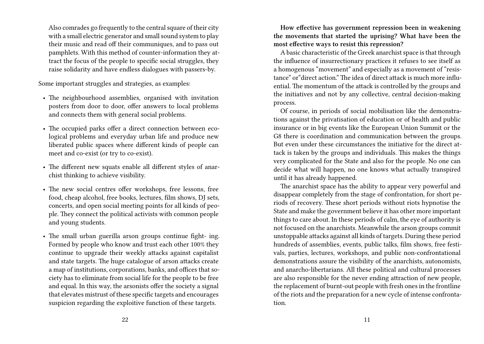Also comrades go frequently to the central square of their city with a small electric generator and small sound system to play their music and read off their communiques, and to pass out pamphlets. With this method of counter-information they attract the focus of the people to specific social struggles, they raise solidarity and have endless dialogues with passers-by.

Some important struggles and strategies, as examples:

- The neighbourhood assemblies, organised with invitation posters from door to door, offer answers to local problems and connects them with general social problems.
- The occupied parks offer a direct connection between ecological problems and everyday urban life and produce new liberated public spaces where different kinds of people can meet and co-exist (or try to co-exist).
- The different new squats enable all different styles of anarchist thinking to achieve visibility.
- The new social centres offer workshops, free lessons, free food, cheap alcohol, free books, lectures, film shows, DJ sets, concerts, and open social meeting points for all kinds of people. They connect the political activists with common people and young students.
- The small urban guerilla arson groups continue fight- ing. Formed by people who know and trust each other 100% they continue to upgrade their weekly attacks against capitalist and state targets. The huge catalogue of arson attacks create a map of institutions, corporations, banks, and offices that society has to eliminate from social life for the people to be free and equal. In this way, the arsonists offer the society a signal that elevates mistrust of these specific targets and encourages suspicion regarding the exploitive function of these targets.

**How effective has government repression been in weakening the movements that started the uprising? What have been the most effective ways to resist this repression?**

A basic characteristic of the Greek anarchist space is that through the influence of insurrectionary practices it refuses to see itself as a homogenous "movement" and especially as a movement of "resistance" or"direct action." The idea of direct attack is much more influential. The momentum of the attack is controlled by the groups and the initiatives and not by any collective, central decision-making process.

Of course, in periods of social mobilisation like the demonstrations against the privatisation of education or of health and public insurance or in big events like the European Union Summit or the G8 there is coordination and communication between the groups. But even under these circumstances the initiative for the direct attack is taken by the groups and individuals. This makes the things very complicated for the State and also for the people. No one can decide what will happen, no one knows what actually transpired until it has already happened.

The anarchist space has the ability to appear very powerful and disappear completely from the stage of confrontation, for short periods of recovery. These short periods without riots hypnotise the State and make the government believe it has other more important things to care about. In these periods of calm, the eye of authority is not focused on the anarchists. Meanwhile the arson groups commit unstoppable attacks against all kinds of targets. During these period hundreds of assemblies, events, public talks, film shows, free festivals, parties, lectures, workshops, and public non-confrontational demonstrations assure the visibility of the anarchists, autonomists, and anarcho-libertarians. All these political and cultural processes are also responsible for the never ending attraction of new people, the replacement of burnt-out people with fresh ones in the frontline of the riots and the preparation for a new cycle of intense confrontation.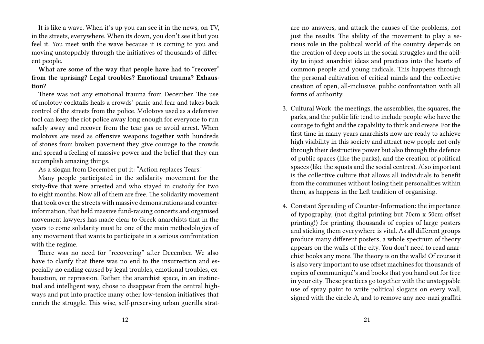It is like a wave. When it's up you can see it in the news, on TV, in the streets, everywhere. When its down, you don't see it but you feel it. You meet with the wave because it is coming to you and moving unstoppably through the initiatives of thousands of different people.

**What are some of the way that people have had to "recover" from the uprising? Legal troubles? Emotional trauma? Exhaustion?**

There was not any emotional trauma from December. The use of molotov cocktails heals a crowds' panic and fear and takes back control of the streets from the police. Molotovs used as a defensive tool can keep the riot police away long enough for everyone to run safely away and recover from the tear gas or avoid arrest. When molotovs are used as offensive weapons together with hundreds of stones from broken pavement they give courage to the crowds and spread a feeling of massive power and the belief that they can accomplish amazing things.

As a slogan from December put it: "Action replaces Tears."

Many people participated in the solidarity movement for the sixty-five that were arrested and who stayed in custody for two to eight months. Now all of them are free. The solidarity movement that took over the streets with massive demonstrations and counterinformation, that held massive fund-raising concerts and organised movement lawyers has made clear to Greek anarchists that in the years to come solidarity must be one of the main methodologies of any movement that wants to participate in a serious confrontation with the regime.

There was no need for "recovering" after December. We also have to clarify that there was no end to the insurrection and especially no ending caused by legal troubles, emotional troubles, exhaustion, or repression. Rather, the anarchist space, in an instinctual and intelligent way, chose to disappear from the central highways and put into practice many other low-tension initiatives that enrich the struggle. This wise, self-preserving urban guerilla stratare no answers, and attack the causes of the problems, not just the results. The ability of the movement to play a serious role in the political world of the country depends on the creation of deep roots in the social struggles and the ability to inject anarchist ideas and practices into the hearts of common people and young radicals. This happens through the personal cultivation of critical minds and the collective creation of open, all-inclusive, public confrontation with all forms of authority.

- 3. Cultural Work: the meetings, the assemblies, the squares, the parks, and the public life tend to include people who have the courage to fight and the capability to think and create. For the first time in many years anarchists now are ready to achieve high visibility in this society and attract new people not only through their destructive power but also through the defence of public spaces (like the parks), and the creation of political spaces (like the squats and the social centres). Also important is the collective culture that allows all individuals to benefit from the communes without losing their personalities within them, as happens in the Left tradition of organising.
- 4. Constant Spreading of Counter-Information: the importance of typography, (not digital printing but 70cm x 50cm offset printing!) for printing thousands of copies of large posters and sticking them everywhere is vital. As all different groups produce many different posters, a whole spectrum of theory appears on the walls of the city. You don't need to read anarchist books any more. The theory is on the walls! Of course it is also very important to use offset machines for thousands of copies of communiqué's and books that you hand out for free in your city. These practices go together with the unstoppable use of spray paint to write political slogans on every wall, signed with the circle-A, and to remove any neo-nazi graffiti.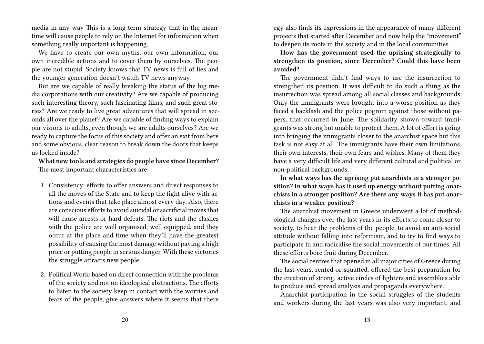media in any way This is a long-term strategy that in the meantime will cause people to rely on the Internet for information when something really important is happening.

We have to create our own myths, our own information, our own incredible actions and to cover them by ourselves. The people are not stupid. Society knows that TV news is full of lies and the younger generation doesn't watch TV news anyway.

But are we capable of really breaking the status of the big media corporations with our creativity? Are we capable of producing such interesting theory, such fascinating films, and such great stories? Are we ready to live great adventures that will spread in seconds all over the planet? Are we capable of finding ways to explain our visions to adults, even though we are adults ourselves? Are we ready to capture the focus of this society and offer an exit from here and some obvious, clear reason to break down the doors that keeps us locked inside?

**What new tools and strategies do people have since December?** The most important characteristics are:

- 1. Consistency: efforts to offer answers and direct responses to all the moves of the State and to keep the fight alive with actions and events that take place almost every day. Also, there are conscious efforts to avoid suicidal or sacrificial moves that will cause arrests or hard defeats. The riots and the clashes with the police are well organised, well equipped, and they occur at the place and time when they'll have the greatest possibility of causing the most damage without paying a high price or putting people in serious danger. With these victories the struggle attracts new people.
- 2. Political Work: based on direct connection with the problems of the society and not on ideological abstractions. The efforts to listen to the society keep in contact with the worries and fears of the people, give answers where it seems that there

egy also finds its expressions in the appearance of many different projects that started after December and now help the "movement" to deepen its roots in the society and in the local communities.

**How has the government used the uprising strategically to strengthen its position, since December? Could this have been avoided?**

The government didn't find ways to use the insurrection to strengthen its position. It was difficult to do such a thing as the insurrection was spread among all social classes and backgrounds. Only the immigrants were brought into a worse position as they faced a backlash and the police pogrom against those without papers, that occurred in June. The solidarity shown toward immigrants was strong but unable to protect them. A lot of effort is going into bringing the immigrants closer to the anarchist space but this task is not easy at all. The immigrants have their own limitations, their own interests, their own fears and wishes. Many of them they have a very difficult life and very different cultural and political or non-political backgrounds.

**In what ways has the uprising put anarchists in a stronger position? In what ways has it used up energy without putting anarchists in a stronger position? Are there any ways it has put anarchists in a weaker position?**

The anarchist movement in Greece underwent a lot of methodological changes over the last years in its efforts to come closer to society, to hear the problems of the people, to avoid an anti-social attitude without falling into reformism, and to try to find ways to participate in and radicalise the social movements of our times. All these efforts bore fruit during December.

The social centres that opened in all major cities of Greece during the last years, rented or squatted, offered the best preparation for the creation of strong, active circles of lighters and assemblies able to produce and spread analysis and propaganda everywhere.

Anarchist participation in the social struggles of the students and workers during the last years was also very important, and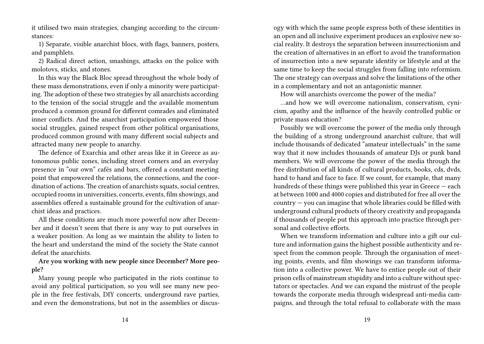it utilised two main strategies, changing according to the circumstances:

1) Separate, visible anarchist blocs, with flags, banners, posters, and pamphlets.

2) Radical direct action, smashings, attacks on the police with molotovs, sticks, and stones.

In this way the Black Bloc spread throughout the whole body of these mass demonstrations, even if only a minority were participating. The adoption of these two strategies by all anarchists according to the tension of the social struggle and the available momentum produced a common ground for different comrades and eliminated inner conflicts. And the anarchist participation empowered those social struggles, gained respect from other political organisations, produced common ground with many different social subjects and attracted many new people to anarchy.

The defence of Exarchia and other areas like it in Greece as autonomous public zones, including street corners and an everyday presence in "our own" cafés and bars, offered a constant meeting point that empowered the relations, the connections, and the coordination of actions. The creation of anarchists squats, social centres, occupied rooms in universities, concerts, events, film showings, and assemblies offered a sustainable ground for the cultivation of anarchist ideas and practices.

All these conditions are much more powerful now after December and it doesn't seem that there is any way to put ourselves in a weaker position. As long as we maintain the ability to listen to the heart and understand the mind of the society the State cannot defeat the anarchists.

## **Are you working with new people since December? More people?**

Many young people who participated in the riots continue to avoid any political participation, so you will see many new people in the free festivals, DIY concerts, underground rave parties, and even the demonstrations, but not in the assemblies or discusogy with which the same people express both of these identities in an open and all inclusive experiment produces an explosive new social reality. It destroys the separation between insurrectionism and the creation of alternatives in an effort to avoid the transformation of insurrection into a new separate identity or lifestyle and at the same time to keep the social struggles from falling into reformism. The one strategy can overpass and solve the limitations of the other in a complementary and not an antagonistic manner.

How will anarchists overcome the power of the media?

…and how we will overcome nationalism, conservatism, cynicism, apathy and the influence of the heavily controlled public or private mass education?

Possibly we will overcome the power of the media only through the building of a strong underground anarchist culture, that will include thousands of dedicated "amateur intellectuals" in the same way that it now includes thousands of amateur DJs or punk band members. We will overcome the power of the media through the free distribution of all kinds of cultural products, books, cds, dvds, hand to hand and face to face. If we count, for example, that many hundreds of these things were published this year in Greece — each at between 1000 and 4000 copies and distributed for free all over the country — you can imagine that whole libraries could be filled with underground cultural products of theory creativity and propaganda if thousands of people put this approach into practice through personal and collective efforts.

When we transform information and culture into a gift our culture and information gains the highest possible authenticity and respect from the common people. Through the organisation of meeting points, events, and film showings we can transform information into a collective power. We have to entice people out of their prison cells of mainstream stupidity and into a culture without spectators or spectacles. And we can expand the mistrust of the people towards the corporate media through widespread anti-media campaigns, and through the total refusal to collaborate with the mass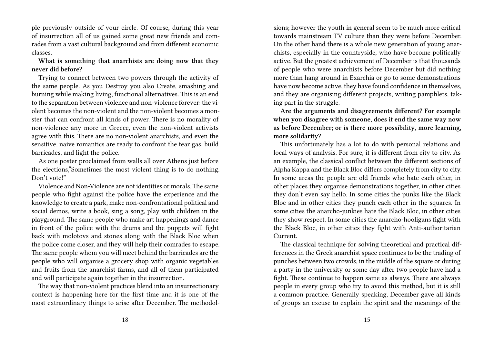ple previously outside of your circle. Of course, during this year of insurrection all of us gained some great new friends and comrades from a vast cultural background and from different economic classes.

**What is something that anarchists are doing now that they never did before?**

Trying to connect between two powers through the activity of the same people. As you Destroy you also Create, smashing and burning while making living, functional alternatives. This is an end to the separation between violence and non-violence forever: the violent becomes the non-violent and the non-violent becomes a monster that can confront all kinds of power. There is no morality of non-violence any more in Greece, even the non-violent activists agree with this. There are no non-violent anarchists, and even the sensitive, naive romantics are ready to confront the tear gas, build barricades, and light the police.

As one poster proclaimed from walls all over Athens just before the elections,"Sometimes the most violent thing is to do nothing. Don't vote!"

Violence and Non-Violence are not identities or morals. The same people who fight against the police have the experience and the knowledge to create a park, make non-confrontational political and social demos, write a book, sing a song, play with children in the playground. The same people who make art happenings and dance in front of the police with the drums and the puppets will fight back with molotovs and stones along with the Black Bloc when the police come closer, and they will help their comrades to escape. The same people whom you will meet behind the barricades are the people who will organise a grocery shop with organic vegetables and fruits from the anarchist farms, and all of them participated and will participate again together in the insurrection.

The way that non-violent practices blend into an insurrectionary context is happening here for the first time and it is one of the most extraordinary things to arise after December. The methodolsions; however the youth in general seem to be much more critical towards mainstream TV culture than they were before December. On the other hand there is a whole new generation of young anarchists, especially in the countryside, who have become politically active. But the greatest achievement of December is that thousands of people who were anarchists before December but did nothing more than hang around in Exarchia or go to some demonstrations have now become active, they have found confidence in themselves, and they are organising different projects, writing pamphlets, taking part in the struggle.

**Are the arguments and disagreements different? For example when you disagree with someone, does it end the same way now as before December; or is there more possibility, more learning, more solidarity?**

This unfortunately has a lot to do with personal relations and local ways of analysis. For sure, it is different from city to city. As an example, the classical conflict between the different sections of Alpha Kappa and the Black Bloc differs completely from city to city. In some areas the people are old friends who hate each other, in other places they organise demonstrations together, in other cities they don't even say hello. In some cities the punks like the Black Bloc and in other cities they punch each other in the squares. In some cities the anarcho-junkies hate the Black Bloc, in other cities they show respect. In some cities the anarcho-hooligans fight with the Black Bloc, in other cities they fight with Anti-authoritarian Current.

The classical technique for solving theoretical and practical differences in the Greek anarchist space continues to be the trading of punches between two crowds, in the middle of the square or during a party in the university or some day after two people have had a fight. These continue to happen same as always. There are always people in every group who try to avoid this method, but it is still a common practice. Generally speaking, December gave all kinds of groups an excuse to explain the spirit and the meanings of the